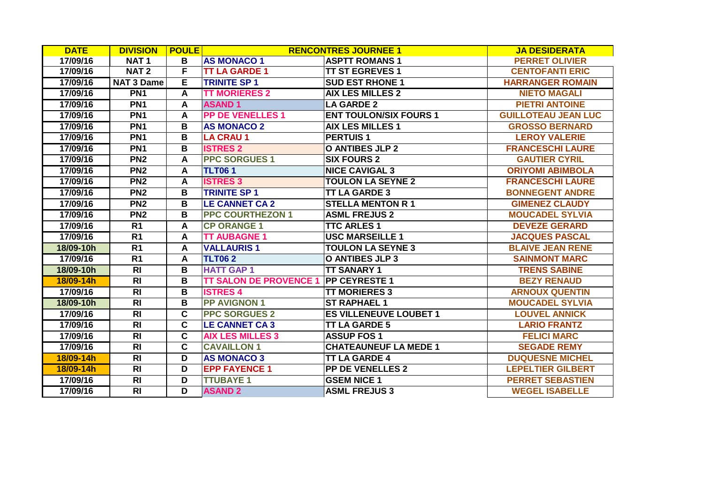| <b>DATE</b> | <b>DIVISION</b>   | <b>POULE</b>            |                               | <b>RENCONTRES JOURNEE 1</b>   | <b>JA DESIDERATA</b>       |
|-------------|-------------------|-------------------------|-------------------------------|-------------------------------|----------------------------|
| 17/09/16    | <b>NAT1</b>       | B                       | <b>AS MONACO 1</b>            | <b>ASPTT ROMANS 1</b>         | <b>PERRET OLIVIER</b>      |
| 17/09/16    | <b>NAT2</b>       | F                       | <b>TT LA GARDE 1</b>          | <b>TT ST EGREVES 1</b>        | <b>CENTOFANTI ERIC</b>     |
| 17/09/16    | <b>NAT 3 Dame</b> | E                       | <b>TRINITE SP 1</b>           | <b>SUD EST RHONE 1</b>        | <b>HARRANGER ROMAIN</b>    |
| 17/09/16    | PN <sub>1</sub>   | A                       | <b>TT MORIERES 2</b>          | <b>AIX LES MILLES 2</b>       | <b>NIETO MAGALI</b>        |
| 17/09/16    | PN <sub>1</sub>   | $\mathbf{A}$            | <b>ASAND1</b>                 | <b>LA GARDE 2</b>             | <b>PIETRI ANTOINE</b>      |
| 17/09/16    | PN <sub>1</sub>   | A                       | <b>PP DE VENELLES 1</b>       | <b>ENT TOULON/SIX FOURS 1</b> | <b>GUILLOTEAU JEAN LUC</b> |
| 17/09/16    | PN <sub>1</sub>   | B                       | <b>AS MONACO 2</b>            | <b>AIX LES MILLES 1</b>       | <b>GROSSO BERNARD</b>      |
| 17/09/16    | PN <sub>1</sub>   | B                       | <b>LA CRAU 1</b>              | <b>PERTUIS1</b>               | <b>LEROY VALERIE</b>       |
| 17/09/16    | PN <sub>1</sub>   | $\overline{\mathbf{B}}$ | <b>ISTRES 2</b>               | <b>O ANTIBES JLP 2</b>        | <b>FRANCESCHI LAURE</b>    |
| 17/09/16    | PN <sub>2</sub>   | A                       | <b>PPC SORGUES 1</b>          | <b>SIX FOURS 2</b>            | <b>GAUTIER CYRIL</b>       |
| 17/09/16    | PN <sub>2</sub>   | A                       | <b>TLT061</b>                 | <b>NICE CAVIGAL 3</b>         | <b>ORIYOMI ABIMBOLA</b>    |
| 17/09/16    | PN <sub>2</sub>   | A                       | <b>ISTRES 3</b>               | <b>TOULON LA SEYNE 2</b>      | <b>FRANCESCHI LAURE</b>    |
| 17/09/16    | PN <sub>2</sub>   | B                       | <b>TRINITE SP 1</b>           | <b>TT LA GARDE 3</b>          | <b>BONNEGENT ANDRE</b>     |
| 17/09/16    | PN2               | $\overline{\mathbf{B}}$ | <b>LE CANNET CA 2</b>         | <b>STELLA MENTON R 1</b>      | <b>GIMENEZ CLAUDY</b>      |
| 17/09/16    | PN <sub>2</sub>   | B                       | <b>PPC COURTHEZON 1</b>       | <b>ASML FREJUS 2</b>          | <b>MOUCADEL SYLVIA</b>     |
| 17/09/16    | R <sub>1</sub>    | A                       | <b>CP ORANGE 1</b>            | <b>TTC ARLES 1</b>            | <b>DEVEZE GERARD</b>       |
| 17/09/16    | R <sub>1</sub>    | A                       | <b>TT AUBAGNE 1</b>           | <b>USC MARSEILLE 1</b>        | <b>JACQUES PASCAL</b>      |
| 18/09-10h   | $\overline{R1}$   | A                       | <b>VALLAURIS1</b>             | <b>TOULON LA SEYNE 3</b>      | <b>BLAIVE JEAN RENE</b>    |
| 17/09/16    | R <sub>1</sub>    | A                       | <b>TLT062</b>                 | <b>O ANTIBES JLP 3</b>        | <b>SAINMONT MARC</b>       |
| 18/09-10h   | <b>RI</b>         | B                       | <b>HATT GAP 1</b>             | <b>TT SANARY 1</b>            | <b>TRENS SABINE</b>        |
| 18/09-14h   | R <sub>l</sub>    | B                       | <b>TT SALON DE PROVENCE 1</b> | <b>PP CEYRESTE 1</b>          | <b>BEZY RENAUD</b>         |
| 17/09/16    | $\overline{R}$    | $\mathbf B$             | <b>ISTRES 4</b>               | <b>TT MORIERES 3</b>          | <b>ARNOUX QUENTIN</b>      |
| 18/09-10h   | $\overline{R}$    | $\overline{\mathbf{B}}$ | <b>PP AVIGNON 1</b>           | <b>ST RAPHAEL 1</b>           | <b>MOUCADEL SYLVIA</b>     |
| 17/09/16    | $\overline{RI}$   | $\overline{\mathbf{c}}$ | <b>PPC SORGUES 2</b>          | <b>ES VILLENEUVE LOUBET 1</b> | <b>LOUVEL ANNICK</b>       |
| 17/09/16    | R <sub>l</sub>    | $\overline{\mathbf{c}}$ | <b>LE CANNET CA3</b>          | <b>TT LA GARDE 5</b>          | <b>LARIO FRANTZ</b>        |
| 17/09/16    | R <sub>l</sub>    | $\mathbf{C}$            | <b>AIX LES MILLES 3</b>       | <b>ASSUP FOS 1</b>            | <b>FELICI MARC</b>         |
| 17/09/16    | R <sub>l</sub>    | $\mathbf{C}$            | <b>CAVAILLON 1</b>            | <b>CHATEAUNEUF LA MEDE 1</b>  | <b>SEGADE REMY</b>         |
| 18/09-14h   | R <sub>l</sub>    | D                       | <b>AS MONACO 3</b>            | <b>TT LA GARDE 4</b>          | <b>DUQUESNE MICHEL</b>     |
| 18/09-14h   | $\overline{R}$    | D                       | <b>EPP FAYENCE 1</b>          | <b>PP DE VENELLES 2</b>       | <b>LEPELTIER GILBERT</b>   |
| 17/09/16    | <b>RI</b>         | D                       | <b>TTUBAYE 1</b>              | <b>GSEM NICE 1</b>            | <b>PERRET SEBASTIEN</b>    |
| 17/09/16    | R <sub>l</sub>    | D                       | <b>ASAND 2</b>                | <b>ASML FREJUS 3</b>          | <b>WEGEL ISABELLE</b>      |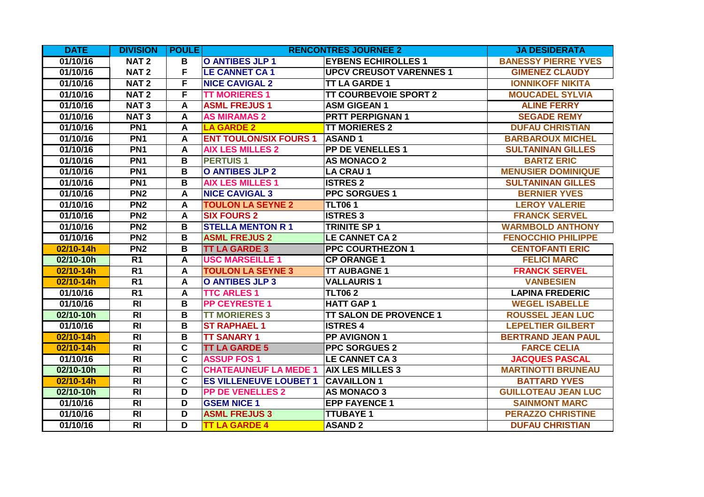| <b>DATE</b> | <b>DIVISION</b> | <b>POULE</b>            |                               | <b>RENCONTRES JOURNEE 2</b>    | <b>JA DESIDERATA</b>       |
|-------------|-----------------|-------------------------|-------------------------------|--------------------------------|----------------------------|
| 01/10/16    | <b>NAT2</b>     | в                       | <b>O ANTIBES JLP 1</b>        | <b>EYBENS ECHIROLLES 1</b>     | <b>BANESSY PIERRE YVES</b> |
| 01/10/16    | <b>NAT2</b>     | F                       | <b>LE CANNET CA 1</b>         | <b>UPCV CREUSOT VARENNES 1</b> | <b>GIMENEZ CLAUDY</b>      |
| 01/10/16    | <b>NAT2</b>     | F                       | <b>NICE CAVIGAL 2</b>         | <b>TT LA GARDE 1</b>           | <b>IONNIKOFF NIKITA</b>    |
| 01/10/16    | <b>NAT2</b>     | F                       | <b>TT MORIERES 1</b>          | <b>TT COURBEVOIE SPORT 2</b>   | <b>MOUCADEL SYLVIA</b>     |
| 01/10/16    | <b>NAT3</b>     | A                       | <b>ASML FREJUS1</b>           | <b>ASM GIGEAN 1</b>            | <b>ALINE FERRY</b>         |
| 01/10/16    | <b>NAT3</b>     | A                       | <b>AS MIRAMAS 2</b>           | <b>PRTT PERPIGNAN 1</b>        | <b>SEGADE REMY</b>         |
| 01/10/16    | PN <sub>1</sub> | $\mathsf{A}$            | <b>LA GARDE 2</b>             | <b>TT MORIERES 2</b>           | <b>DUFAU CHRISTIAN</b>     |
| 01/10/16    | PN <sub>1</sub> | A                       | <b>ENT TOULON/SIX FOURS 1</b> | <b>ASAND1</b>                  | <b>BARBAROUX MICHEL</b>    |
| 01/10/16    | PN <sub>1</sub> | A                       | <b>AIX LES MILLES 2</b>       | <b>PP DE VENELLES 1</b>        | <b>SULTANINAN GILLES</b>   |
| 01/10/16    | PN <sub>1</sub> | B                       | <b>PERTUIS1</b>               | <b>AS MONACO 2</b>             | <b>BARTZ ERIC</b>          |
| 01/10/16    | PN <sub>1</sub> | B                       | <b>O ANTIBES JLP 2</b>        | <b>LA CRAU 1</b>               | <b>MENUSIER DOMINIQUE</b>  |
| 01/10/16    | PN <sub>1</sub> | B                       | <b>AIX LES MILLES 1</b>       | <b>ISTRES 2</b>                | <b>SULTANINAN GILLES</b>   |
| 01/10/16    | PN <sub>2</sub> | $\mathsf{A}$            | <b>NICE CAVIGAL 3</b>         | <b>PPC SORGUES 1</b>           | <b>BERNIER YVES</b>        |
| 01/10/16    | PN <sub>2</sub> | A                       | <b>TOULON LA SEYNE 2</b>      | <b>TLT061</b>                  | <b>LEROY VALERIE</b>       |
| 01/10/16    | PN <sub>2</sub> | A                       | <b>SIX FOURS 2</b>            | <b>ISTRES 3</b>                | <b>FRANCK SERVEL</b>       |
| 01/10/16    | PN <sub>2</sub> | B                       | <b>STELLA MENTON R 1</b>      | <b>TRINITE SP 1</b>            | <b>WARMBOLD ANTHONY</b>    |
| 01/10/16    | PN <sub>2</sub> | $\overline{\mathbf{B}}$ | <b>ASML FREJUS 2</b>          | <b>LE CANNET CA 2</b>          | <b>FENOCCHIO PHILIPPE</b>  |
| 02/10-14h   | PN <sub>2</sub> | B                       | <b>TT LA GARDE 3</b>          | <b>PPC COURTHEZON 1</b>        | <b>CENTOFANTI ERIC</b>     |
| 02/10-10h   | R <sub>1</sub>  | A                       | <b>USC MARSEILLE 1</b>        | <b>CP ORANGE 1</b>             | <b>FELICI MARC</b>         |
| 02/10-14h   | R <sub>1</sub>  | $\boldsymbol{A}$        | <b>TOULON LA SEYNE 3</b>      | <b>TT AUBAGNE 1</b>            | <b>FRANCK SERVEL</b>       |
| 02/10-14h   | R <sub>1</sub>  | $\mathsf{A}$            | O ANTIBES JLP 3               | <b>VALLAURIS1</b>              | <b>VANBESIEN</b>           |
| 01/10/16    | R <sub>1</sub>  | A                       | <b>TTC ARLES 1</b>            | <b>TLT062</b>                  | <b>LAPINA FREDERIC</b>     |
| 01/10/16    | $\overline{R}$  | B                       | <b>PP CEYRESTE 1</b>          | <b>HATT GAP 1</b>              | <b>WEGEL ISABELLE</b>      |
| 02/10-10h   | $\overline{R}$  | B                       | <b>TT MORIERES 3</b>          | <b>TT SALON DE PROVENCE 1</b>  | <b>ROUSSEL JEAN LUC</b>    |
| 01/10/16    | R <sub>l</sub>  | B                       | <b>ST RAPHAEL 1</b>           | <b>ISTRES 4</b>                | <b>LEPELTIER GILBERT</b>   |
| 02/10-14h   | R <sub>l</sub>  | B                       | <b>TT SANARY 1</b>            | <b>PP AVIGNON 1</b>            | <b>BERTRAND JEAN PAUL</b>  |
| 02/10-14h   | $\overline{RI}$ | $\overline{\mathbf{c}}$ | <b>TT LA GARDE 5</b>          | <b>PPC SORGUES 2</b>           | <b>FARCE CELIA</b>         |
| 01/10/16    | <b>RI</b>       | $\overline{\mathbf{c}}$ | <b>ASSUP FOS1</b>             | <b>LE CANNET CA3</b>           | <b>JACQUES PASCAL</b>      |
| 02/10-10h   | R <sub>l</sub>  | $\overline{\mathbf{c}}$ | <b>CHATEAUNEUF LA MEDE 1</b>  | <b>AIX LES MILLES 3</b>        | <b>MARTINOTTI BRUNEAU</b>  |
| 02/10-14h   | $\overline{R}$  | $\overline{\mathbf{c}}$ | <b>ES VILLENEUVE LOUBET 1</b> | <b>CAVAILLON 1</b>             | <b>BATTARD YVES</b>        |
| 02/10-10h   | R <sub>l</sub>  | D                       | <b>PP DE VENELLES 2</b>       | <b>AS MONACO 3</b>             | <b>GUILLOTEAU JEAN LUC</b> |
| 01/10/16    | R <sub>l</sub>  | $\overline{\mathsf{D}}$ | <b>GSEM NICE 1</b>            | <b>EPP FAYENCE 1</b>           | <b>SAINMONT MARC</b>       |
| 01/10/16    | <b>RI</b>       | D                       | <b>ASML FREJUS 3</b>          | <b>TTUBAYE 1</b>               | <b>PERAZZO CHRISTINE</b>   |
| 01/10/16    | R <sub>l</sub>  | D                       | <b>TT LA GARDE 4</b>          | <b>ASAND 2</b>                 | <b>DUFAU CHRISTIAN</b>     |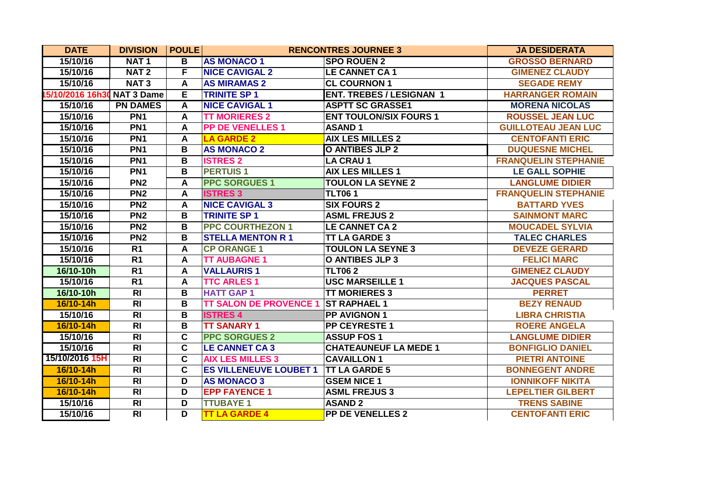| <b>DATE</b>                 | <b>DIVISION</b>  | <b>POULE</b> |                                             | <b>RENCONTRES JOURNEE 3</b>     | <b>JA DESIDERATA</b>        |
|-----------------------------|------------------|--------------|---------------------------------------------|---------------------------------|-----------------------------|
| 15/10/16                    | NAT <sub>1</sub> | В            | <b>AS MONACO 1</b>                          | <b>SPO ROUEN 2</b>              | <b>GROSSO BERNARD</b>       |
| 15/10/16                    | <b>NAT2</b>      | F            | <b>NICE CAVIGAL 2</b>                       | <b>LE CANNET CA1</b>            | <b>GIMENEZ CLAUDY</b>       |
| 15/10/16                    | NAT <sub>3</sub> | A            | <b>AS MIRAMAS 2</b>                         | <b>CL COURNON 1</b>             | <b>SEGADE REMY</b>          |
| 15/10/2016 16h30 NAT 3 Dame |                  | Е            | <b>TRINITE SP1</b>                          | <b>ENT. TREBES / LESIGNAN 1</b> | <b>HARRANGER ROMAIN</b>     |
| 15/10/16                    | <b>PN DAMES</b>  | A            | <b>NICE CAVIGAL 1</b>                       | <b>ASPTT SC GRASSE1</b>         | <b>MORENA NICOLAS</b>       |
| 15/10/16                    | PN <sub>1</sub>  | A            | <b>TT MORIERES 2</b>                        | <b>ENT TOULON/SIX FOURS 1</b>   | <b>ROUSSEL JEAN LUC</b>     |
| 15/10/16                    | PN <sub>1</sub>  | A            | <b>PP DE VENELLES 1</b>                     | <b>ASAND1</b>                   | <b>GUILLOTEAU JEAN LUC</b>  |
| 15/10/16                    | PN <sub>1</sub>  | A            | <b>LA GARDE 2</b>                           | <b>AIX LES MILLES 2</b>         | <b>CENTOFANTI ERIC</b>      |
| 15/10/16                    | PN <sub>1</sub>  | В            | <b>AS MONACO 2</b>                          | <b>O ANTIBES JLP 2</b>          | <b>DUQUESNE MICHEL</b>      |
| 15/10/16                    | PN <sub>1</sub>  | B            | <b>ISTRES 2</b>                             | <b>LA CRAU 1</b>                | <b>FRANQUELIN STEPHANIE</b> |
| 15/10/16                    | PN <sub>1</sub>  | В            | <b>PERTUIS1</b>                             | <b>AIX LES MILLES 1</b>         | <b>LE GALL SOPHIE</b>       |
| 15/10/16                    | PN <sub>2</sub>  | A            | <b>PPC SORGUES 1</b>                        | <b>TOULON LA SEYNE 2</b>        | <b>LANGLUME DIDIER</b>      |
| 15/10/16                    | PN2              | A            | <b>ISTRES 3</b>                             | <b>TLT061</b>                   | <b>FRANQUELIN STEPHANIE</b> |
| 15/10/16                    | PN2              | A            | <b>NICE CAVIGAL 3</b>                       | <b>SIX FOURS 2</b>              | <b>BATTARD YVES</b>         |
| 15/10/16                    | PN <sub>2</sub>  | В            | <b>TRINITE SP 1</b>                         | <b>ASML FREJUS 2</b>            | <b>SAINMONT MARC</b>        |
| 15/10/16                    | PN <sub>2</sub>  | B            | <b>PPC COURTHEZON 1</b>                     | <b>LE CANNET CA 2</b>           | <b>MOUCADEL SYLVIA</b>      |
| 15/10/16                    | PN2              | В            | <b>STELLA MENTON R 1</b>                    | <b>TT LA GARDE 3</b>            | <b>TALEC CHARLES</b>        |
| 15/10/16                    | R1               | A            | <b>CP ORANGE 1</b>                          | <b>TOULON LA SEYNE 3</b>        | <b>DEVEZE GERARD</b>        |
| 15/10/16                    | R <sub>1</sub>   | A            | <b>TT AUBAGNE 1</b>                         | O ANTIBES JLP 3                 | <b>FELICI MARC</b>          |
| 16/10-10h                   | R <sub>1</sub>   | A            | <b>VALLAURIS1</b>                           | <b>TLT062</b>                   | <b>GIMENEZ CLAUDY</b>       |
| 15/10/16                    | R <sub>1</sub>   | A            | <b>TTC ARLES 1</b>                          | <b>USC MARSEILLE 1</b>          | <b>JACQUES PASCAL</b>       |
| 16/10-10h                   | $\overline{R}$   | В            | <b>HATT GAP 1</b>                           | <b>TT MORIERES 3</b>            | <b>PERRET</b>               |
| 16/10-14h                   | $\overline{R}$   | В            | <b>TT SALON DE PROVENCE 1 ST RAPHAEL 1</b>  |                                 | <b>BEZY RENAUD</b>          |
| 15/10/16                    | R <sub>l</sub>   | В            | <b>ISTRES 4</b>                             | <b>PP AVIGNON 1</b>             | <b>LIBRA CHRISTIA</b>       |
| 16/10-14h                   | R <sub>l</sub>   | В            | <b>TT SANARY 1</b>                          | <b>PP CEYRESTE 1</b>            | <b>ROERE ANGELA</b>         |
| 15/10/16                    | $\overline{R}$   | $\mathbf c$  | <b>PPC SORGUES 2</b>                        | <b>ASSUP FOS 1</b>              | <b>LANGLUME DIDIER</b>      |
| 15/10/16                    | $\overline{R}$   | C            | <b>LE CANNET CA 3</b>                       | <b>CHATEAUNEUF LA MEDE 1</b>    | <b>BONFIGLIO DANIEL</b>     |
| 15/10/2016 15H              | <b>RI</b>        | C            | <b>AIX LES MILLES 3</b>                     | <b>CAVAILLON 1</b>              | <b>PIETRI ANTOINE</b>       |
| 16/10-14h                   | R <sub>l</sub>   | C            | <b>ES VILLENEUVE LOUBET 1 TT LA GARDE 5</b> |                                 | <b>BONNEGENT ANDRE</b>      |
| 16/10-14h                   | R <sub>l</sub>   | D            | <b>AS MONACO 3</b>                          | <b>GSEM NICE 1</b>              | <b>IONNIKOFF NIKITA</b>     |
| 16/10-14h                   | <b>RI</b>        | D            | <b>EPP FAYENCE 1</b>                        | <b>ASML FREJUS 3</b>            | <b>LEPELTIER GILBERT</b>    |
| 15/10/16                    | <b>RI</b>        | D            | <b>TTUBAYE 1</b>                            | <b>ASAND 2</b>                  | <b>TRENS SABINE</b>         |
| 15/10/16                    | $\overline{R}$   | D            | <b>TT LA GARDE 4</b>                        | <b>PP DE VENELLES 2</b>         | <b>CENTOFANTI ERIC</b>      |
|                             |                  |              |                                             |                                 |                             |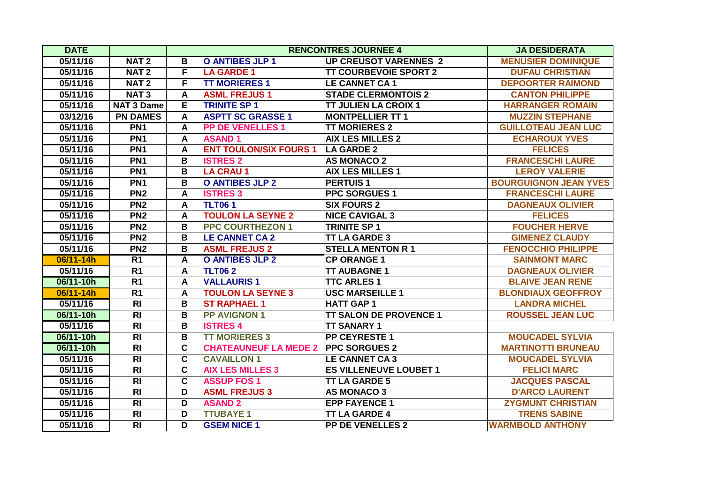| <b>DATE</b> |                   |                         |                               | <b>RENCONTRES JOURNEE 4</b>   | <b>JA DESIDERATA</b>         |
|-------------|-------------------|-------------------------|-------------------------------|-------------------------------|------------------------------|
| 05/11/16    | NAT <sub>2</sub>  | B                       | <b>O ANTIBES JLP 1</b>        | <b>UP CREUSOT VARENNES 2</b>  | <b>MENUSIER DOMINIQUE</b>    |
| 05/11/16    | <b>NAT2</b>       | F                       | <b>LA GARDE 1</b>             | <b>TT COURBEVOIE SPORT 2</b>  | <b>DUFAU CHRISTIAN</b>       |
| 05/11/16    | <b>NAT2</b>       | F                       | <b>TT MORIERES 1</b>          | <b>LE CANNET CA1</b>          | <b>DEPOORTER RAIMOND</b>     |
| 05/11/16    | NAT <sub>3</sub>  | A                       | <b>ASML FREJUS1</b>           | <b>STADE CLERMONTOIS 2</b>    | <b>CANTON PHILIPPE</b>       |
| 05/11/16    | <b>NAT 3 Dame</b> | E.                      | <b>TRINITE SP 1</b>           | <b>TT JULIEN LA CROIX 1</b>   | <b>HARRANGER ROMAIN</b>      |
| 03/12/16    | <b>PN DAMES</b>   | A                       | <b>ASPTT SC GRASSE 1</b>      | <b>MONTPELLIER TT 1</b>       | <b>MUZZIN STEPHANE</b>       |
| 05/11/16    | PN <sub>1</sub>   | A                       | <b>PP DE VENELLES 1</b>       | <b>TT MORIERES 2</b>          | <b>GUILLOTEAU JEAN LUC</b>   |
| 05/11/16    | PN <sub>1</sub>   | A                       | <b>ASAND1</b>                 | <b>AIX LES MILLES 2</b>       | <b>ECHAROUX YVES</b>         |
| 05/11/16    | PN <sub>1</sub>   | A                       | <b>ENT TOULON/SIX FOURS 1</b> | <b>LA GARDE 2</b>             | <b>FELICES</b>               |
| 05/11/16    | PN <sub>1</sub>   | B                       | <b>ISTRES 2</b>               | <b>AS MONACO 2</b>            | <b>FRANCESCHI LAURE</b>      |
| 05/11/16    | PN <sub>1</sub>   | B                       | <b>LA CRAU 1</b>              | <b>AIX LES MILLES 1</b>       | <b>LEROY VALERIE</b>         |
| 05/11/16    | PN <sub>1</sub>   | B                       | <b>O ANTIBES JLP 2</b>        | <b>PERTUIS1</b>               | <b>BOURGUIGNON JEAN YVES</b> |
| 05/11/16    | PN <sub>2</sub>   | A                       | <b>ISTRES 3</b>               | <b>PPC SORGUES 1</b>          | <b>FRANCESCHI LAURE</b>      |
| 05/11/16    | PN2               | $\mathsf{A}$            | <b>TLT061</b>                 | <b>SIX FOURS 2</b>            | <b>DAGNEAUX OLIVIER</b>      |
| 05/11/16    | PN <sub>2</sub>   | A                       | <b>TOULON LA SEYNE 2</b>      | <b>NICE CAVIGAL 3</b>         | <b>FELICES</b>               |
| 05/11/16    | PN <sub>2</sub>   | B                       | <b>PPC COURTHEZON 1</b>       | <b>TRINITE SP 1</b>           | <b>FOUCHER HERVE</b>         |
| 05/11/16    | PN <sub>2</sub>   | $\overline{\mathbf{B}}$ | <b>LE CANNET CA 2</b>         | <b>TT LA GARDE 3</b>          | <b>GIMENEZ CLAUDY</b>        |
| 05/11/16    | PN <sub>2</sub>   | В                       | <b>ASML FREJUS 2</b>          | <b>STELLA MENTON R 1</b>      | <b>FENOCCHIO PHILIPPE</b>    |
| 06/11-14h   | R <sub>1</sub>    | A                       | <b>O ANTIBES JLP 2</b>        | <b>CP ORANGE 1</b>            | <b>SAINMONT MARC</b>         |
| 05/11/16    | $\overline{R1}$   | A                       | <b>TLT062</b>                 | <b>TT AUBAGNE 1</b>           | <b>DAGNEAUX OLIVIER</b>      |
| 06/11-10h   | R <sub>1</sub>    | A                       | <b>VALLAURIS1</b>             | <b>TTC ARLES 1</b>            | <b>BLAIVE JEAN RENE</b>      |
| 06/11-14h   | $\overline{R1}$   | A                       | <b>TOULON LA SEYNE 3</b>      | <b>USC MARSEILLE 1</b>        | <b>BLONDIAUX GEOFFROY</b>    |
| 05/11/16    | R <sub>l</sub>    | B                       | <b>ST RAPHAEL 1</b>           | <b>HATT GAP 1</b>             | <b>LANDRA MICHEL</b>         |
| 06/11-10h   | $\overline{R}$    | В                       | <b>PP AVIGNON 1</b>           | <b>TT SALON DE PROVENCE 1</b> | <b>ROUSSEL JEAN LUC</b>      |
| 05/11/16    | $\overline{R}$    | B                       | <b>ISTRES 4</b>               | <b>TT SANARY 1</b>            |                              |
| 06/11-10h   | $\overline{R}$    | В                       | <b>TT MORIERES 3</b>          | <b>PP CEYRESTE 1</b>          | <b>MOUCADEL SYLVIA</b>       |
| 06/11-10h   | R <sub>l</sub>    | $\overline{\mathbf{c}}$ | <b>CHATEAUNEUF LA MEDE 2</b>  | <b>PPC SORGUES 2</b>          | <b>MARTINOTTI BRUNEAU</b>    |
| 05/11/16    | <b>RI</b>         | $\overline{\mathbf{c}}$ | <b>CAVAILLON 1</b>            | <b>LE CANNET CA3</b>          | <b>MOUCADEL SYLVIA</b>       |
| 05/11/16    | R <sub>l</sub>    | $\overline{\mathbf{c}}$ | <b>AIX LES MILLES 3</b>       | <b>ES VILLENEUVE LOUBET 1</b> | <b>FELICI MARC</b>           |
| 05/11/16    | $\overline{R}$    | $\overline{\mathbf{c}}$ | <b>ASSUP FOS 1</b>            | <b>TT LA GARDE 5</b>          | <b>JACQUES PASCAL</b>        |
| 05/11/16    | R <sub>l</sub>    | D                       | <b>ASML FREJUS 3</b>          | <b>AS MONACO 3</b>            | <b>D'ARCO LAURENT</b>        |
| 05/11/16    | $\overline{R}$    | $\overline{\mathsf{D}}$ | <b>ASAND 2</b>                | <b>EPP FAYENCE 1</b>          | <b>ZYGMUNT CHRISTIAN</b>     |
| 05/11/16    | $\overline{RI}$   | $\overline{\mathsf{D}}$ | <b>TTUBAYE 1</b>              | <b>TT LA GARDE 4</b>          | <b>TRENS SABINE</b>          |
| 05/11/16    | R <sub>l</sub>    | D                       | <b>GSEM NICE 1</b>            | <b>PP DE VENELLES 2</b>       | <b>WARMBOLD ANTHONY</b>      |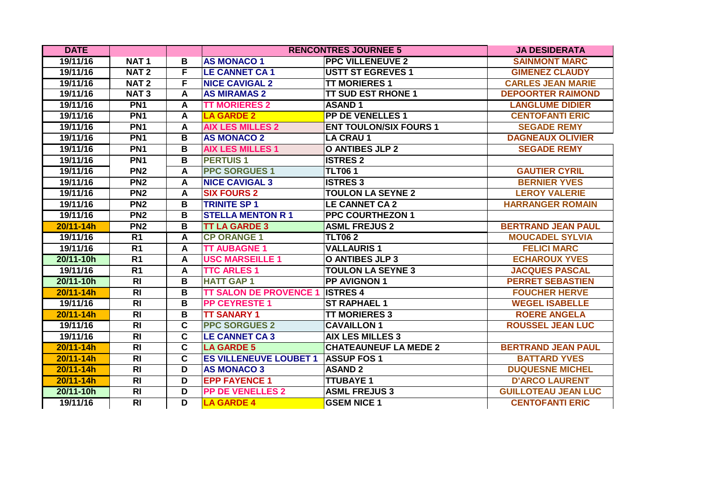| <b>DATE</b>   |                 |                         |                               | <b>RENCONTRES JOURNEE 5</b>   | <b>JA DESIDERATA</b>       |
|---------------|-----------------|-------------------------|-------------------------------|-------------------------------|----------------------------|
| 19/11/16      | <b>NAT1</b>     | В                       | <b>AS MONACO 1</b>            | <b>PPC VILLENEUVE 2</b>       | <b>SAINMONT MARC</b>       |
| 19/11/16      | <b>NAT2</b>     | F                       | <b>LE CANNET CA1</b>          | <b>USTT ST EGREVES 1</b>      | <b>GIMENEZ CLAUDY</b>      |
| 19/11/16      | <b>NAT2</b>     | F                       | <b>NICE CAVIGAL 2</b>         | <b>TT MORIERES 1</b>          | <b>CARLES JEAN MARIE</b>   |
| 19/11/16      | <b>NAT3</b>     | A                       | <b>AS MIRAMAS 2</b>           | <b>TT SUD EST RHONE 1</b>     | <b>DEPOORTER RAIMOND</b>   |
| 19/11/16      | PN <sub>1</sub> | A                       | <b>TT MORIERES 2</b>          | <b>ASAND1</b>                 | <b>LANGLUME DIDIER</b>     |
| 19/11/16      | PN <sub>1</sub> | $\mathsf{A}$            | <b>LA GARDE 2</b>             | <b>PP DE VENELLES 1</b>       | <b>CENTOFANTI ERIC</b>     |
| 19/11/16      | PN <sub>1</sub> | A                       | <b>AIX LES MILLES 2</b>       | <b>ENT TOULON/SIX FOURS 1</b> | <b>SEGADE REMY</b>         |
| 19/11/16      | PN <sub>1</sub> | B                       | <b>AS MONACO 2</b>            | <b>LA CRAU 1</b>              | <b>DAGNEAUX OLIVIER</b>    |
| 19/11/16      | PN <sub>1</sub> | В                       | <b>AIX LES MILLES 1</b>       | <b>O ANTIBES JLP 2</b>        | <b>SEGADE REMY</b>         |
| 19/11/16      | PN <sub>1</sub> | B                       | <b>PERTUIS1</b>               | <b>ISTRES 2</b>               |                            |
| 19/11/16      | PN <sub>2</sub> | $\mathsf{A}$            | <b>PPC SORGUES 1</b>          | <b>TLT061</b>                 | <b>GAUTIER CYRIL</b>       |
| 19/11/16      | PN <sub>2</sub> | A                       | <b>NICE CAVIGAL 3</b>         | <b>ISTRES 3</b>               | <b>BERNIER YVES</b>        |
| 19/11/16      | PN <sub>2</sub> | A                       | <b>SIX FOURS 2</b>            | <b>TOULON LA SEYNE 2</b>      | <b>LEROY VALERIE</b>       |
| 19/11/16      | PN <sub>2</sub> | B                       | <b>TRINITE SP 1</b>           | <b>LE CANNET CA 2</b>         | <b>HARRANGER ROMAIN</b>    |
| 19/11/16      | PN <sub>2</sub> | $\overline{\mathbf{B}}$ | <b>STELLA MENTON R 1</b>      | <b>PPC COURTHEZON 1</b>       |                            |
| 20/11-14h     | PN <sub>2</sub> | В                       | <b>TT LA GARDE 3</b>          | <b>ASML FREJUS 2</b>          | <b>BERTRAND JEAN PAUL</b>  |
| 19/11/16      | R <sub>1</sub>  | A                       | <b>CP ORANGE 1</b>            | <b>TLT062</b>                 | <b>MOUCADEL SYLVIA</b>     |
| 19/11/16      | R <sub>1</sub>  | A                       | <b>TT AUBAGNE 1</b>           | <b>VALLAURIS1</b>             | <b>FELICI MARC</b>         |
| 20/11-10h     | R <sub>1</sub>  | A                       | <b>USC MARSEILLE 1</b>        | <b>O ANTIBES JLP 3</b>        | <b>ECHAROUX YVES</b>       |
| 19/11/16      | $\overline{R1}$ | A                       | <b>TTC ARLES 1</b>            | <b>TOULON LA SEYNE 3</b>      | <b>JACQUES PASCAL</b>      |
| 20/11-10h     | $\overline{R}$  | В                       | <b>HATT GAP 1</b>             | <b>PP AVIGNON 1</b>           | <b>PERRET SEBASTIEN</b>    |
| 20/11-14h     | R <sub>l</sub>  | В                       | <b>TT SALON DE PROVENCE 1</b> | <b>ISTRES 4</b>               | <b>FOUCHER HERVE</b>       |
| 19/11/16      | R <sub>l</sub>  | В                       | <b>PP CEYRESTE 1</b>          | <b>ST RAPHAEL 1</b>           | <b>WEGEL ISABELLE</b>      |
| 20/11-14h     | R <sub>l</sub>  | В                       | <b>TT SANARY 1</b>            | <b>TT MORIERES 3</b>          | <b>ROERE ANGELA</b>        |
| 19/11/16      | $\overline{R}$  | $\overline{\mathbf{c}}$ | <b>PPC SORGUES 2</b>          | <b>CAVAILLON 1</b>            | <b>ROUSSEL JEAN LUC</b>    |
| 19/11/16      | $\overline{R}$  | $\overline{\mathbf{c}}$ | <b>LE CANNET CA3</b>          | <b>AIX LES MILLES 3</b>       |                            |
| 20/11-14h     | R <sub>l</sub>  | $\mathbf{C}$            | <b>LA GARDE 5</b>             | <b>CHATEAUNEUF LA MEDE 2</b>  | <b>BERTRAND JEAN PAUL</b>  |
| 20/11-14h     | $\overline{R}$  | $\mathbf C$             | <b>ES VILLENEUVE LOUBET 1</b> | <b>ASSUP FOS 1</b>            | <b>BATTARD YVES</b>        |
| 20/11-14h     | $\overline{R}$  | D                       | <b>AS MONACO 3</b>            | <b>ASAND 2</b>                | <b>DUQUESNE MICHEL</b>     |
| $20/11 - 14h$ | $\overline{R}$  | D                       | <b>EPP FAYENCE 1</b>          | <b>TTUBAYE 1</b>              | <b>D'ARCO LAURENT</b>      |
| 20/11-10h     | $\overline{R}$  | $\overline{\mathsf{D}}$ | <b>PP DE VENELLES 2</b>       | <b>ASML FREJUS 3</b>          | <b>GUILLOTEAU JEAN LUC</b> |
| 19/11/16      | R <sub>l</sub>  | D                       | <b>LA GARDE 4</b>             | <b>GSEM NICE 1</b>            | <b>CENTOFANTI ERIC</b>     |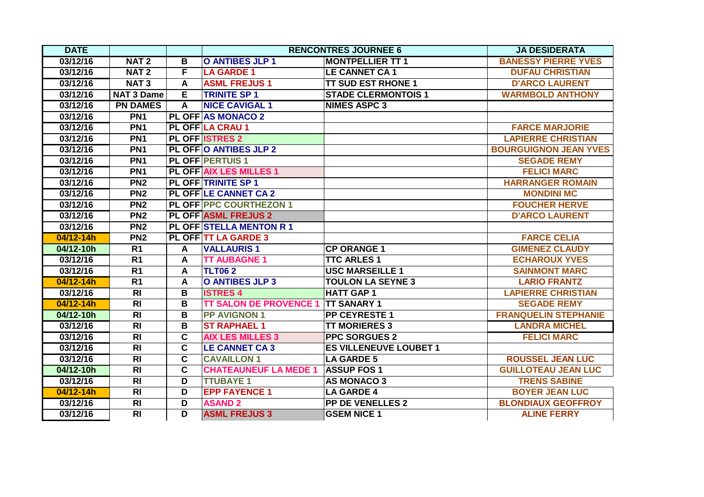| <b>DATE</b> |                   |                         |                                 | <b>RENCONTRES JOURNEE 6</b>   | <b>JA DESIDERATA</b>         |
|-------------|-------------------|-------------------------|---------------------------------|-------------------------------|------------------------------|
| 03/12/16    | NAT <sub>2</sub>  | B                       | O ANTIBES JLP 1                 | <b>MONTPELLIER TT 1</b>       | <b>BANESSY PIERRE YVES</b>   |
| 03/12/16    | NAT <sub>2</sub>  | F                       | <b>LA GARDE 1</b>               | <b>LE CANNET CA1</b>          | <b>DUFAU CHRISTIAN</b>       |
| 03/12/16    | NAT <sub>3</sub>  | A                       | <b>ASML FREJUS1</b>             | <b>TT SUD EST RHONE 1</b>     | <b>D'ARCO LAURENT</b>        |
| 03/12/16    | <b>NAT 3 Dame</b> | E.                      | <b>TRINITE SP 1</b>             | <b>STADE CLERMONTOIS 1</b>    | <b>WARMBOLD ANTHONY</b>      |
| 03/12/16    | <b>PN DAMES</b>   | $\overline{A}$          | <b>NICE CAVIGAL 1</b>           | <b>NIMES ASPC 3</b>           |                              |
| 03/12/16    | PN <sub>1</sub>   |                         | <b>PL OFF AS MONACO 2</b>       |                               |                              |
| 03/12/16    | PN <sub>1</sub>   |                         | <b>PL OFF LA CRAU 1</b>         |                               | <b>FARCE MARJORIE</b>        |
| 03/12/16    | PN <sub>1</sub>   |                         | <b>PL OFF ISTRES 2</b>          |                               | <b>LAPIERRE CHRISTIAN</b>    |
| 03/12/16    | PN <sub>1</sub>   |                         | <b>PL OFF O ANTIBES JLP 2</b>   |                               | <b>BOURGUIGNON JEAN YVES</b> |
| 03/12/16    | PN <sub>1</sub>   |                         | <b>PL OFF PERTUIS 1</b>         |                               | <b>SEGADE REMY</b>           |
| 03/12/16    | PN <sub>1</sub>   |                         | <b>PL OFF AIX LES MILLES 1</b>  |                               | <b>FELICI MARC</b>           |
| 03/12/16    | PN <sub>2</sub>   |                         | <b>PL OFF TRINITE SP 1</b>      |                               | <b>HARRANGER ROMAIN</b>      |
| 03/12/16    | PN2               |                         | <b>PL OFF LE CANNET CA 2</b>    |                               | <b>MONDINI MC</b>            |
| 03/12/16    | PN <sub>2</sub>   |                         | <b>PL OFF PPC COURTHEZON 1</b>  |                               | <b>FOUCHER HERVE</b>         |
| 03/12/16    | PN <sub>2</sub>   |                         | <b>PL OFF ASML FREJUS 2</b>     |                               | <b>D'ARCO LAURENT</b>        |
| 03/12/16    | PN <sub>2</sub>   |                         | <b>PL OFF STELLA MENTON R 1</b> |                               |                              |
| 04/12-14h   | PN2               |                         | <b>PL OFF TT LA GARDE 3</b>     |                               | <b>FARCE CELIA</b>           |
| 04/12-10h   | R <sub>1</sub>    | A                       | <b>VALLAURIS1</b>               | <b>CP ORANGE 1</b>            | <b>GIMENEZ CLAUDY</b>        |
| 03/12/16    | R <sub>1</sub>    | A                       | <b>TT AUBAGNE 1</b>             | <b>TTC ARLES 1</b>            | <b>ECHAROUX YVES</b>         |
| 03/12/16    | R <sub>1</sub>    | A                       | <b>TLT062</b>                   | <b>USC MARSEILLE 1</b>        | <b>SAINMONT MARC</b>         |
| 04/12-14h   | R <sub>1</sub>    | A                       | <b>O ANTIBES JLP 3</b>          | <b>TOULON LA SEYNE 3</b>      | <b>LARIO FRANTZ</b>          |
| 03/12/16    | $\overline{RI}$   | $\overline{\mathbf{B}}$ | <b>ISTRES 4</b>                 | <b>HATT GAP 1</b>             | <b>LAPIERRE CHRISTIAN</b>    |
| 04/12-14h   | R <sub>l</sub>    | В                       | <b>TT SALON DE PROVENCE 1</b>   | <b>TT SANARY 1</b>            | <b>SEGADE REMY</b>           |
| 04/12-10h   | R <sub>l</sub>    | B                       | <b>PP AVIGNON 1</b>             | <b>PP CEYRESTE 1</b>          | <b>FRANQUELIN STEPHANIE</b>  |
| 03/12/16    | R <sub>l</sub>    | B                       | <b>ST RAPHAEL 1</b>             | <b>TT MORIERES 3</b>          | <b>LANDRA MICHEL</b>         |
| 03/12/16    | R <sub>l</sub>    | $\mathbf c$             | <b>AIX LES MILLES 3</b>         | <b>PPC SORGUES 2</b>          | <b>FELICI MARC</b>           |
| 03/12/16    | $\overline{R}$    | $\overline{\mathbf{c}}$ | <b>LE CANNET CA 3</b>           | <b>ES VILLENEUVE LOUBET 1</b> |                              |
| 03/12/16    | $\overline{RI}$   | $\overline{\mathbf{c}}$ | <b>CAVAILLON 1</b>              | <b>LA GARDE 5</b>             | <b>ROUSSEL JEAN LUC</b>      |
| 04/12-10h   | R <sub>l</sub>    | $\mathbf c$             | <b>CHATEAUNEUF LA MEDE 1</b>    | <b>ASSUP FOS 1</b>            | <b>GUILLOTEAU JEAN LUC</b>   |
| 03/12/16    | R <sub>l</sub>    | D                       | <b>TTUBAYE 1</b>                | <b>AS MONACO 3</b>            | <b>TRENS SABINE</b>          |
| 04/12-14h   | $\overline{R}$    | $\overline{\mathsf{D}}$ | <b>EPP FAYENCE 1</b>            | <b>LA GARDE 4</b>             | <b>BOYER JEAN LUC</b>        |
| 03/12/16    | $\overline{R}$    | D                       | <b>ASAND 2</b>                  | <b>PP DE VENELLES 2</b>       | <b>BLONDIAUX GEOFFROY</b>    |
| 03/12/16    | $\overline{R}$    | D                       | <b>ASML FREJUS 3</b>            | <b>GSEM NICE 1</b>            | <b>ALINE FERRY</b>           |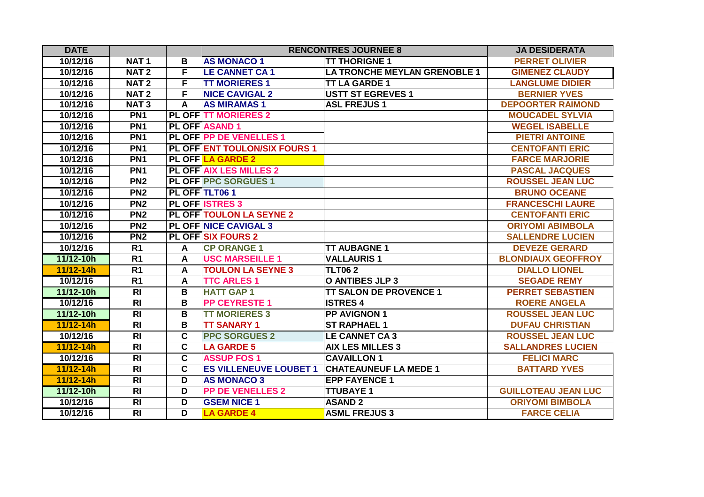| <b>DATE</b> |                  |                         |                                      | <b>RENCONTRES JOURNEE 8</b>         | <b>JA DESIDERATA</b>       |
|-------------|------------------|-------------------------|--------------------------------------|-------------------------------------|----------------------------|
| 10/12/16    | <b>NAT1</b>      | B                       | <b>AS MONACO 1</b>                   | <b>TT THORIGNE 1</b>                | <b>PERRET OLIVIER</b>      |
| 10/12/16    | NAT <sub>2</sub> | F                       | <b>LE CANNET CA1</b>                 | <b>LA TRONCHE MEYLAN GRENOBLE 1</b> | <b>GIMENEZ CLAUDY</b>      |
| 10/12/16    | NAT <sub>2</sub> | F                       | <b>TT MORIERES 1</b>                 | <b>TT LA GARDE 1</b>                | <b>LANGLUME DIDIER</b>     |
| 10/12/16    | NAT <sub>2</sub> | F                       | <b>NICE CAVIGAL 2</b>                | <b>USTT ST EGREVES 1</b>            | <b>BERNIER YVES</b>        |
| 10/12/16    | <b>NAT3</b>      | A                       | <b>AS MIRAMAS 1</b>                  | <b>ASL FREJUS1</b>                  | <b>DEPOORTER RAIMOND</b>   |
| 10/12/16    | PN <sub>1</sub>  |                         | <b>PL OFF TT MORIERES 2</b>          |                                     | <b>MOUCADEL SYLVIA</b>     |
| 10/12/16    | PN <sub>1</sub>  |                         | <b>PL OFF ASAND 1</b>                |                                     | <b>WEGEL ISABELLE</b>      |
| 10/12/16    | PN <sub>1</sub>  |                         | PL OFF PP DE VENELLES 1              |                                     | <b>PIETRI ANTOINE</b>      |
| 10/12/16    | PN <sub>1</sub>  |                         | <b>PL OFF ENT TOULON/SIX FOURS 1</b> |                                     | <b>CENTOFANTI ERIC</b>     |
| 10/12/16    | PN <sub>1</sub>  |                         | <b>PL OFF LA GARDE 2</b>             |                                     | <b>FARCE MARJORIE</b>      |
| 10/12/16    | PN <sub>1</sub>  |                         | <b>PL OFF AIX LES MILLES 2</b>       |                                     | <b>PASCAL JACQUES</b>      |
| 10/12/16    | PN <sub>2</sub>  |                         | <b>PL OFF PPC SORGUES 1</b>          |                                     | <b>ROUSSEL JEAN LUC</b>    |
| 10/12/16    | PN <sub>2</sub>  |                         | PL OFF TLT061                        |                                     | <b>BRUNO OCEANE</b>        |
| 10/12/16    | PN2              |                         | <b>PL OFF ISTRES 3</b>               |                                     | <b>FRANCESCHI LAURE</b>    |
| 10/12/16    | PN <sub>2</sub>  |                         | <b>PL OFF TOULON LA SEYNE 2</b>      |                                     | <b>CENTOFANTI ERIC</b>     |
| 10/12/16    | PN <sub>2</sub>  |                         | <b>PL OFF NICE CAVIGAL 3</b>         |                                     | <b>ORIYOMI ABIMBOLA</b>    |
| 10/12/16    | PN <sub>2</sub>  |                         | <b>PL OFF SIX FOURS 2</b>            |                                     | <b>SALLENDRE LUCIEN</b>    |
| 10/12/16    | R <sub>1</sub>   | A                       | <b>CP ORANGE 1</b>                   | <b>TT AUBAGNE 1</b>                 | <b>DEVEZE GERARD</b>       |
| 11/12-10h   | R <sub>1</sub>   | A                       | <b>USC MARSEILLE 1</b>               | <b>VALLAURIS1</b>                   | <b>BLONDIAUX GEOFFROY</b>  |
| 11/12-14h   | R <sub>1</sub>   | $\mathsf{A}$            | <b>TOULON LA SEYNE 3</b>             | <b>TLT062</b>                       | <b>DIALLO LIONEL</b>       |
| 10/12/16    | R <sub>1</sub>   | A                       | <b>TTC ARLES 1</b>                   | <b>O ANTIBES JLP 3</b>              | <b>SEGADE REMY</b>         |
| 11/12-10h   | $\overline{R}$   | B                       | <b>HATT GAP 1</b>                    | <b>TT SALON DE PROVENCE 1</b>       | <b>PERRET SEBASTIEN</b>    |
| 10/12/16    | $\overline{R}$   | B                       | <b>PP CEYRESTE 1</b>                 | <b>ISTRES 4</b>                     | <b>ROERE ANGELA</b>        |
| 11/12-10h   | <b>RI</b>        | B                       | <b>TT MORIERES 3</b>                 | <b>PP AVIGNON 1</b>                 | <b>ROUSSEL JEAN LUC</b>    |
| 11/12-14h   | R <sub>l</sub>   | B                       | <b>TT SANARY 1</b>                   | <b>ST RAPHAEL 1</b>                 | <b>DUFAU CHRISTIAN</b>     |
| 10/12/16    | R <sub>l</sub>   | $\mathbf c$             | <b>PPC SORGUES 2</b>                 | <b>LE CANNET CA3</b>                | <b>ROUSSEL JEAN LUC</b>    |
| 11/12-14h   | R <sub>l</sub>   | $\overline{\mathbf{c}}$ | <b>LA GARDE 5</b>                    | <b>AIX LES MILLES 3</b>             | <b>SALLANDRES LUCIEN</b>   |
| 10/12/16    | $\overline{R}$   | $\overline{\mathbf{c}}$ | <b>ASSUP FOS 1</b>                   | <b>CAVAILLON 1</b>                  | <b>FELICI MARC</b>         |
| 11/12-14h   | $\overline{R}$   | $\overline{\mathbf{c}}$ | <b>ES VILLENEUVE LOUBET 1</b>        | <b>CHATEAUNEUF LA MEDE 1</b>        | <b>BATTARD YVES</b>        |
| 11/12-14h   | R <sub>l</sub>   | D                       | <b>AS MONACO 3</b>                   | <b>EPP FAYENCE 1</b>                |                            |
| 11/12-10h   | R <sub>l</sub>   | D                       | <b>PP DE VENELLES 2</b>              | <b>TTUBAYE 1</b>                    | <b>GUILLOTEAU JEAN LUC</b> |
| 10/12/16    | R <sub>l</sub>   | D                       | <b>GSEM NICE 1</b>                   | <b>ASAND 2</b>                      | <b>ORIYOMI BIMBOLA</b>     |
| 10/12/16    | $\overline{R}$   | D                       | <b>LA GARDE 4</b>                    | <b>ASML FREJUS 3</b>                | <b>FARCE CELIA</b>         |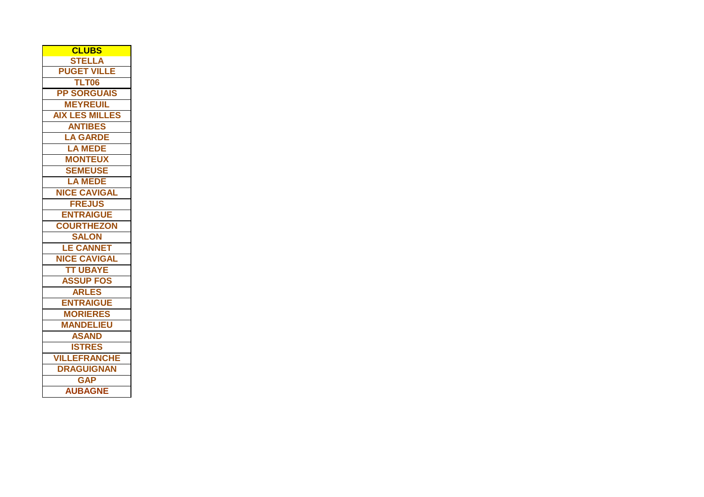| <b>CLUBS</b>          |
|-----------------------|
| <b>STELLA</b>         |
| <b>PUGET VILLE</b>    |
| TLT06                 |
| <b>PP SORGUAIS</b>    |
| <b>MEYREUIL</b>       |
| <b>AIX LES MILLES</b> |
| <b>ANTIBES</b>        |
| <b>LA GARDE</b>       |
| <b>LA MEDE</b>        |
| <b>MONTEUX</b>        |
| <b>SEMEUSE</b>        |
| <b>LA MEDE</b>        |
| <b>NICE CAVIGAL</b>   |
| <b>FREJUS</b>         |
| <b>ENTRAIGUE</b>      |
| <b>COURTHEZON</b>     |
| <b>SALON</b>          |
| <b>LE CANNET</b>      |
| <b>NICE CAVIGAL</b>   |
| <b>TT UBAYE</b>       |
| <b>ASSUP FOS</b>      |
| <b>ARLES</b>          |
| <b>ENTRAIGUE</b>      |
| <b>MORIERES</b>       |
| <b>MANDELIEU</b>      |
| <b>ASAND</b>          |
| <b>ISTRES</b>         |
| <b>VILLEFRANCHE</b>   |
| <b>DRAGUIGNAN</b>     |
| <b>GAP</b>            |
| <b>AUBAGNE</b>        |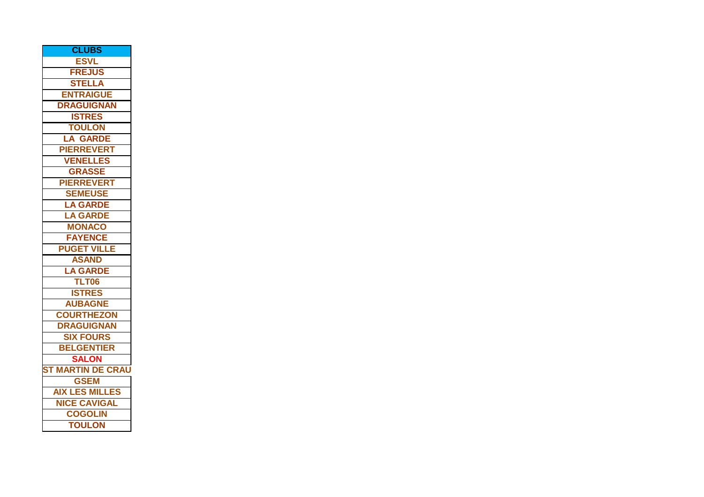| <b>CLUBS</b>                |
|-----------------------------|
| <b>ESVL</b>                 |
| <b>FREJUS</b>               |
| <b>STELLA</b>               |
| <b>ENTRAIGUE</b>            |
| <b>DRAGUIGNAN</b>           |
| <b>ISTRES</b>               |
| <b>TOULON</b>               |
| <b>LA GARDE</b>             |
| <b>PIERREVERT</b>           |
| <b>VENELLES</b>             |
| <b>GRASSE</b>               |
| <b>PIERREVERT</b>           |
| <b>SEMEUSE</b>              |
| <b>LA GARDE</b>             |
| <b>LA GARDE</b>             |
| <b>MONACO</b>               |
| <b>FAYENCE</b>              |
| <b>PUGET VILLE</b>          |
| <b>ASAND</b>                |
| <b>LA GARDE</b>             |
| TLT06                       |
| <b>ISTRES</b>               |
| <b>AUBAGNE</b>              |
| <b>COURTHEZON</b>           |
| <b>DRAGUIGNAN</b>           |
| <b>SIX FOURS</b>            |
| <b>BELGENTIER</b>           |
| <b>SALON</b>                |
| <b>MARTIN DE CRAU</b><br>ST |
| <b>GSEM</b>                 |
| <b>AIX LES MILLES</b>       |
| <b>NICE CAVIGAL</b>         |
| <b>COGOLIN</b>              |
| <b>TOULON</b>               |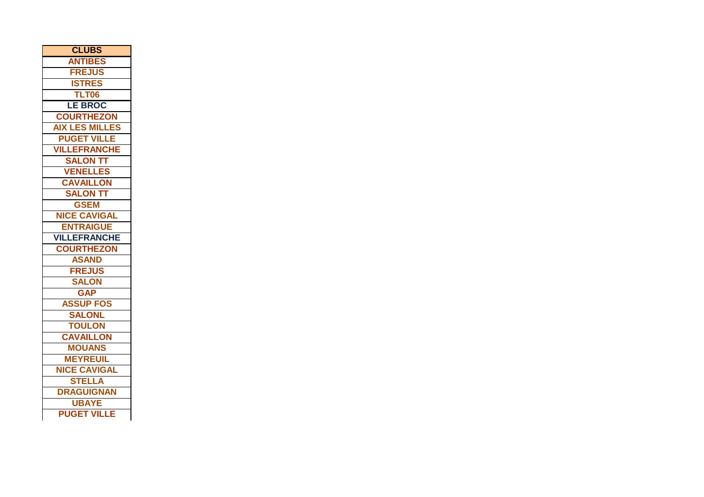| <b>CLUBS</b>          |
|-----------------------|
| <b>ANTIBES</b>        |
| <b>FREJUS</b>         |
| <b>ISTRES</b>         |
| <b>TLT06</b>          |
| <b>LE BROC</b>        |
| <b>COURTHEZON</b>     |
| <b>AIX LES MILLES</b> |
| <b>PUGET VILLE</b>    |
| <b>VILLEFRANCHE</b>   |
| <b>SALON TT</b>       |
| <b>VENELLES</b>       |
| <b>CAVAILLON</b>      |
| <b>SALON TT</b>       |
| <b>GSEM</b>           |
| <b>NICE CAVIGAL</b>   |
| <b>ENTRAIGUE</b>      |
| <b>VILLEFRANCHE</b>   |
| <b>COURTHEZON</b>     |
| <b>ASAND</b>          |
| <b>FREJUS</b>         |
| <b>SALON</b>          |
| <b>GAP</b>            |
| <b>ASSUP FOS</b>      |
| <b>SALONL</b>         |
| <b>TOULON</b>         |
| <b>CAVAILLON</b>      |
| <b>MOUANS</b>         |
| <b>MEYREUIL</b>       |
| <b>NICE CAVIGAL</b>   |
| <b>STELLA</b>         |
| <b>DRAGUIGNAN</b>     |
| <b>UBAYE</b>          |
| <b>PUGET VILLE</b>    |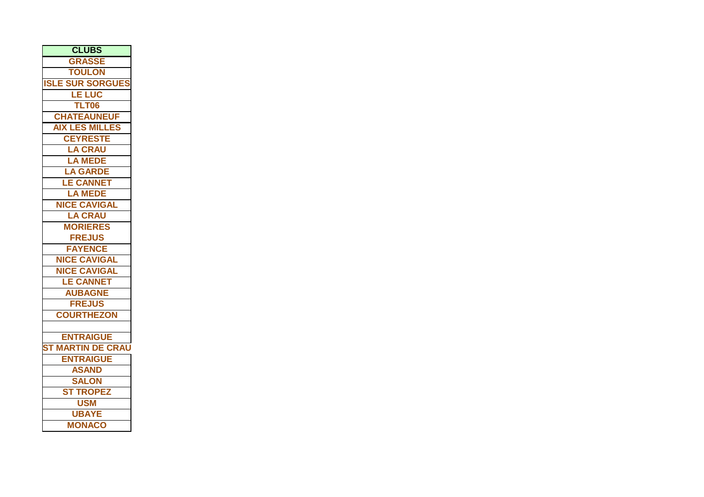| <b>CLUBS</b>             |
|--------------------------|
| <b>GRASSE</b>            |
| <b>TOULON</b>            |
| <b>ISLE SUR SORGUES</b>  |
| <b>LE LUC</b>            |
| TLT06                    |
| <b>CHATEAUNEUF</b>       |
| <b>AIX LES MILLES</b>    |
| <b>CEYRESTE</b>          |
| <b>LA CRAU</b>           |
| <b>LA MEDE</b>           |
| <b>LA GARDE</b>          |
| <b>LE CANNET</b>         |
| <b>LA MEDE</b>           |
| <b>NICE CAVIGAL</b>      |
| <b>LA CRAU</b>           |
| <b>MORIERES</b>          |
| <b>FREJUS</b>            |
| <b>FAYENCE</b>           |
| <b>NICE CAVIGAL</b>      |
| <b>NICE CAVIGAL</b>      |
| <b>LE CANNET</b>         |
| <b>AUBAGNE</b>           |
| <b>FREJUS</b>            |
| <b>COURTHEZON</b>        |
|                          |
| <b>ENTRAIGUE</b>         |
| <b>ST MARTIN DE CRAU</b> |
| <b>ENTRAIGUE</b>         |
| <b>ASAND</b>             |
| <b>SALON</b>             |
| <b>ST TROPEZ</b>         |
| <b>USM</b>               |
| <b>UBAYE</b>             |
| <b>MONACO</b>            |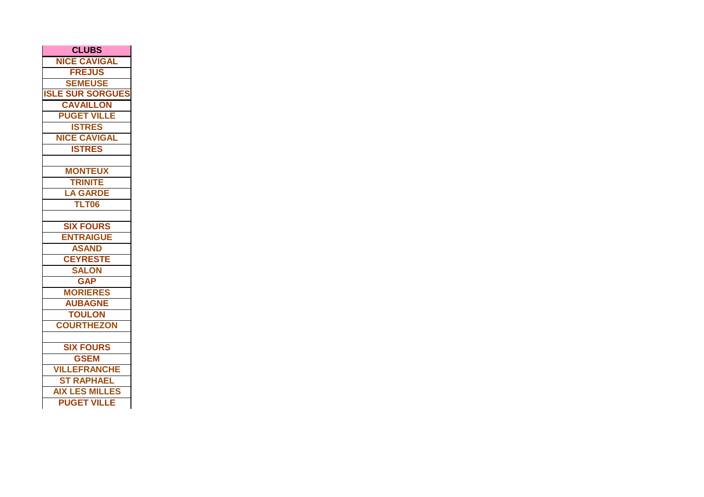| <b>CLUBS</b>            |
|-------------------------|
| <b>NICE CAVIGAL</b>     |
| <b>FREJUS</b>           |
| <b>SEMEUSE</b>          |
| <b>ISLE SUR SORGUES</b> |
| <b>CAVAILLON</b>        |
| <b>PUGET VILLE</b>      |
| <b>ISTRES</b>           |
| <b>NICE CAVIGAL</b>     |
| <b>ISTRES</b>           |
|                         |
| <b>MONTEUX</b>          |
| <b>TRINITE</b>          |
| <b>LA GARDE</b>         |
| TLT06                   |
|                         |
| <b>SIX FOURS</b>        |
| <b>ENTRAIGUE</b>        |
| <b>ASAND</b>            |
| <b>CEYRESTE</b>         |
| <b>SALON</b>            |
| <b>GAP</b>              |
| <b>MORIERES</b>         |
| <b>AUBAGNE</b>          |
| <b>TOULON</b>           |
| <b>COURTHEZON</b>       |
|                         |
| <b>SIX FOURS</b>        |
| <b>GSEM</b>             |
| <b>VILLEFRANCHE</b>     |
| <b>ST RAPHAEL</b>       |
| <b>AIX LES MILLES</b>   |
| <b>PUGET VILLE</b>      |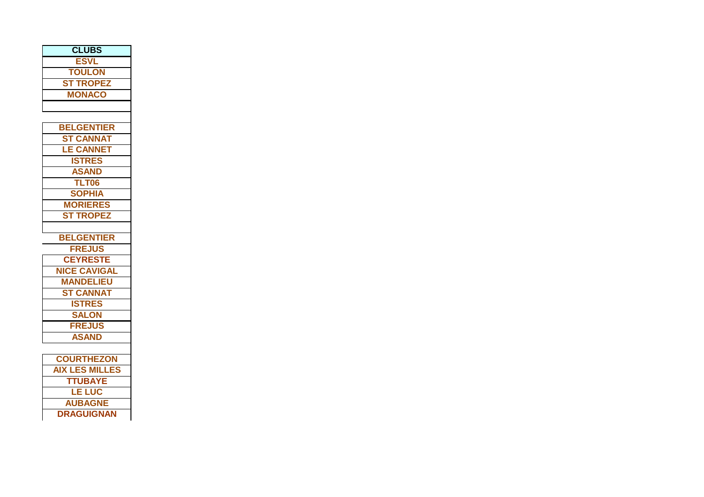| <b>CLUBS</b>          |
|-----------------------|
| <b>ESVL</b>           |
| <b>TOULON</b>         |
| <b>ST TROPEZ</b>      |
| <b>MONACO</b>         |
|                       |
|                       |
| <b>BELGENTIER</b>     |
| <b>ST CANNAT</b>      |
| <b>LE CANNET</b>      |
| <b>ISTRES</b>         |
| <b>ASAND</b>          |
| <b>TLT06</b>          |
| <b>SOPHIA</b>         |
| <b>MORIERES</b>       |
| <b>ST TROPEZ</b>      |
|                       |
| <b>BELGENTIER</b>     |
| <b>FREJUS</b>         |
| <b>CEYRESTE</b>       |
| <b>NICE CAVIGAL</b>   |
| <b>MANDELIEU</b>      |
| <b>ST CANNAT</b>      |
| <b>ISTRES</b>         |
| <b>SALON</b>          |
| <b>FREJUS</b>         |
| <b>ASAND</b>          |
|                       |
| <b>COURTHEZON</b>     |
| <b>AIX LES MILLES</b> |
| <b>TTUBAYE</b>        |
| <u>LE LUC</u>         |
| <b>AUBAGNE</b>        |
| <b>DRAGUIGNAN</b>     |